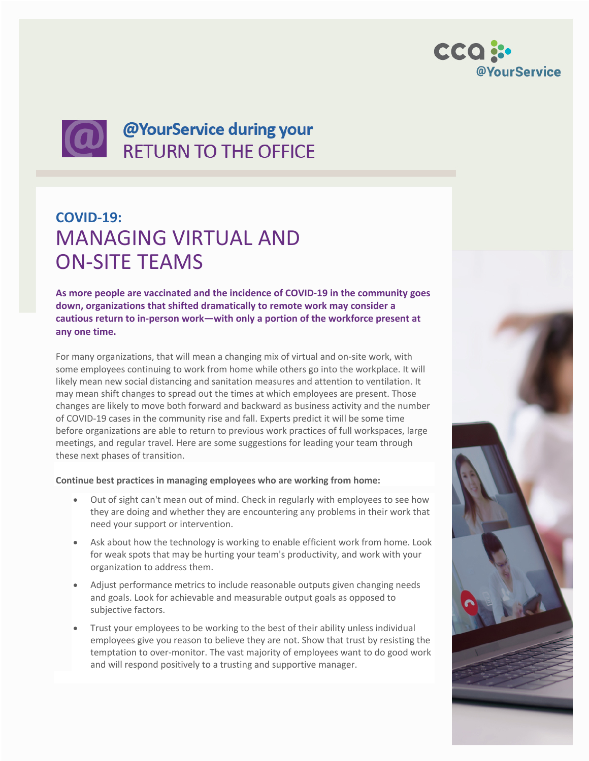



# **QUE ONE OFFICE**<br>RETURN TO THE OFFICE

### **COVID-19:** MANAGING VIRTUAL AND ON-SITE TEAMS

**As more people are vaccinated and the incidence of COVID-19 in the community goes down, organizations that shifted dramatically to remote work may consider a cautious return to in-person work—with only a portion of the workforce present at any one time.** 

For many organizations, that will mean a changing mix of virtual and on-site work, with some employees continuing to work from home while others go into the workplace. It will likely mean new social distancing and sanitation measures and attention to ventilation. It may mean shift changes to spread out the times at which employees are present. Those changes are likely to move both forward and backward as business activity and the number of COVID-19 cases in the community rise and fall. Experts predict it will be some time before organizations are able to return to previous work practices of full workspaces, large meetings, and regular travel. Here are some suggestions for leading your team through these next phases of transition.

#### **Continue best practices in managing employees who are working from home:**

- Out of sight can't mean out of mind. Check in regularly with employees to see how they are doing and whether they are encountering any problems in their work that need your support or intervention.
- Ask about how the technology is working to enable efficient work from home. Look for weak spots that may be hurting your team's productivity, and work with your organization to address them.
- Adjust performance metrics to include reasonable outputs given changing needs and goals. Look for achievable and measurable output goals as opposed to subjective factors.
- Trust your employees to be working to the best of their ability unless individual employees give you reason to believe they are not. Show that trust by resisting the temptation to over-monitor. The vast majority of employees want to do good work and will respond positively to a trusting and supportive manager.

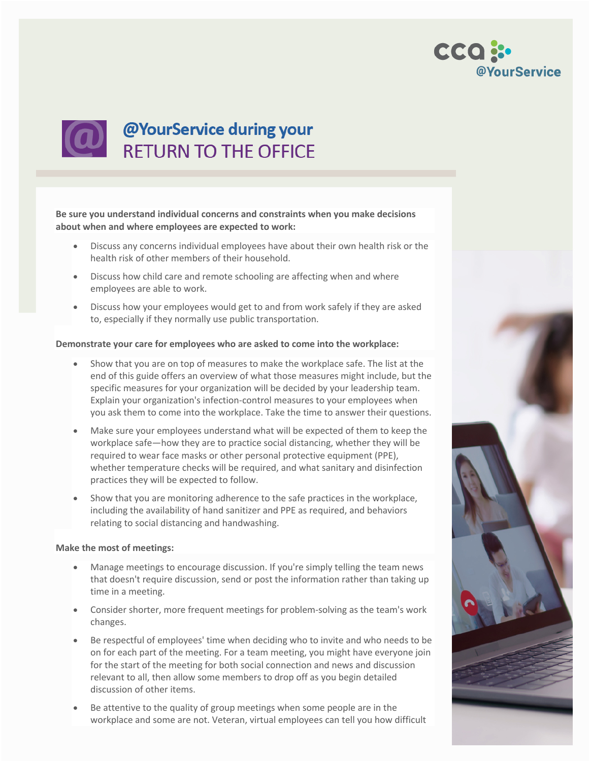



## **QUE ONE OFFICE**<br>RETURN TO THE OFFICE

**Be sure you understand individual concerns and constraints when you make decisions about when and where employees are expected to work:**

- Discuss any concerns individual employees have about their own health risk or the health risk of other members of their household.
- Discuss how child care and remote schooling are affecting when and where employees are able to work.
- Discuss how your employees would get to and from work safely if they are asked to, especially if they normally use public transportation.

#### **Demonstrate your care for employees who are asked to come into the workplace:**

- Show that you are on top of measures to make the workplace safe. The list at the end of this guide offers an overview of what those measures might include, but the specific measures for your organization will be decided by your leadership team. Explain your organization's infection-control measures to your employees when you ask them to come into the workplace. Take the time to answer their questions.
- Make sure your employees understand what will be expected of them to keep the workplace safe—how they are to practice social distancing, whether they will be required to wear face masks or other personal protective equipment (PPE), whether temperature checks will be required, and what sanitary and disinfection practices they will be expected to follow.
- Show that you are monitoring adherence to the safe practices in the workplace, including the availability of hand sanitizer and PPE as required, and behaviors relating to social distancing and handwashing.

#### **Make the most of meetings:**

- Manage meetings to encourage discussion. If you're simply telling the team news that doesn't require discussion, send or post the information rather than taking up time in a meeting.
- Consider shorter, more frequent meetings for problem-solving as the team's work changes.
- Be respectful of employees' time when deciding who to invite and who needs to be on for each part of the meeting. For a team meeting, you might have everyone join for the start of the meeting for both social connection and news and discussion relevant to all, then allow some members to drop off as you begin detailed discussion of other items.
- Be attentive to the quality of group meetings when some people are in the workplace and some are not. Veteran, virtual employees can tell you how difficult